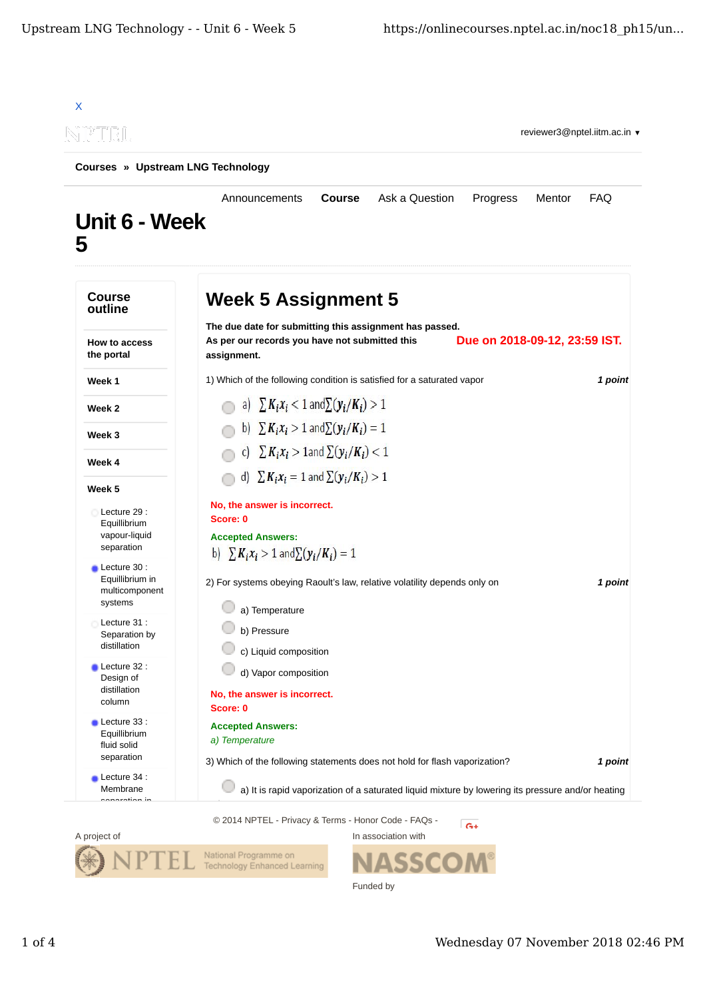

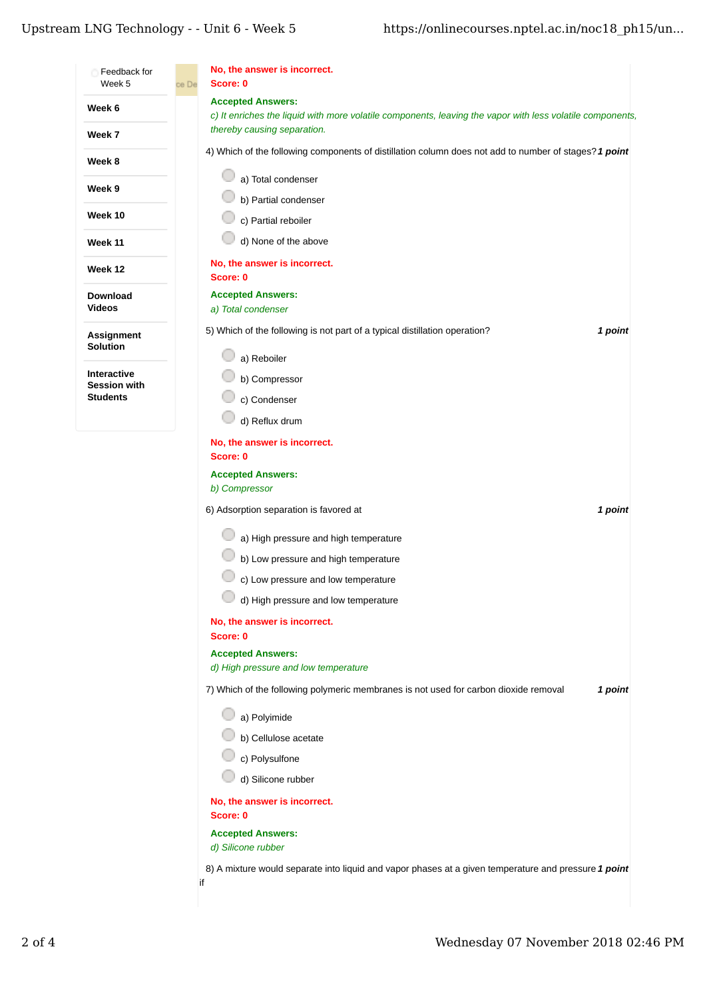## Upstream LNG Technology - - Unit $6$  - Week  $5$

| Feedback for                  | No, the answer is incorrect.                                                                                                             |
|-------------------------------|------------------------------------------------------------------------------------------------------------------------------------------|
| Week 5                        | Score: 0<br>ce De<br><b>Accepted Answers:</b>                                                                                            |
| Week 6                        | c) It enriches the liquid with more volatile components, leaving the vapor with less volatile components,<br>thereby causing separation. |
| Week 7                        | 4) Which of the following components of distillation column does not add to number of stages? 1 point                                    |
| Week 8                        |                                                                                                                                          |
| Week 9                        | a) Total condenser<br>b) Partial condenser                                                                                               |
| Week 10                       | c) Partial reboiler                                                                                                                      |
| <b>Week 11</b>                | d) None of the above                                                                                                                     |
| Week 12                       | No, the answer is incorrect.<br>Score: 0                                                                                                 |
| Download<br>Videos            | <b>Accepted Answers:</b><br>a) Total condenser                                                                                           |
| Assignment<br><b>Solution</b> | 5) Which of the following is not part of a typical distillation operation?<br>1 point                                                    |
| Interactive                   | a) Reboiler                                                                                                                              |
| <b>Session with</b>           | b) Compressor                                                                                                                            |
| <b>Students</b>               | c) Condenser                                                                                                                             |
|                               | d) Reflux drum                                                                                                                           |
|                               | No, the answer is incorrect.<br>Score: 0                                                                                                 |
|                               | <b>Accepted Answers:</b>                                                                                                                 |
|                               | b) Compressor                                                                                                                            |
|                               | 6) Adsorption separation is favored at<br>1 point                                                                                        |
|                               | a) High pressure and high temperature                                                                                                    |
|                               | b) Low pressure and high temperature                                                                                                     |
|                               | c) Low pressure and low temperature                                                                                                      |
|                               | d) High pressure and low temperature                                                                                                     |
|                               | No, the answer is incorrect.                                                                                                             |
|                               | Score: 0                                                                                                                                 |
|                               | <b>Accepted Answers:</b><br>d) High pressure and low temperature                                                                         |
|                               | 7) Which of the following polymeric membranes is not used for carbon dioxide removal<br>1 point                                          |
|                               | a) Polyimide                                                                                                                             |
|                               | b) Cellulose acetate                                                                                                                     |
|                               | c) Polysulfone                                                                                                                           |
|                               | d) Silicone rubber                                                                                                                       |
|                               | No, the answer is incorrect.<br>Score: 0                                                                                                 |
|                               | <b>Accepted Answers:</b><br>d) Silicone rubber                                                                                           |
|                               | 8) A mixture would separate into liquid and vapor phases at a given temperature and pressure 1 point<br>if                               |
|                               |                                                                                                                                          |